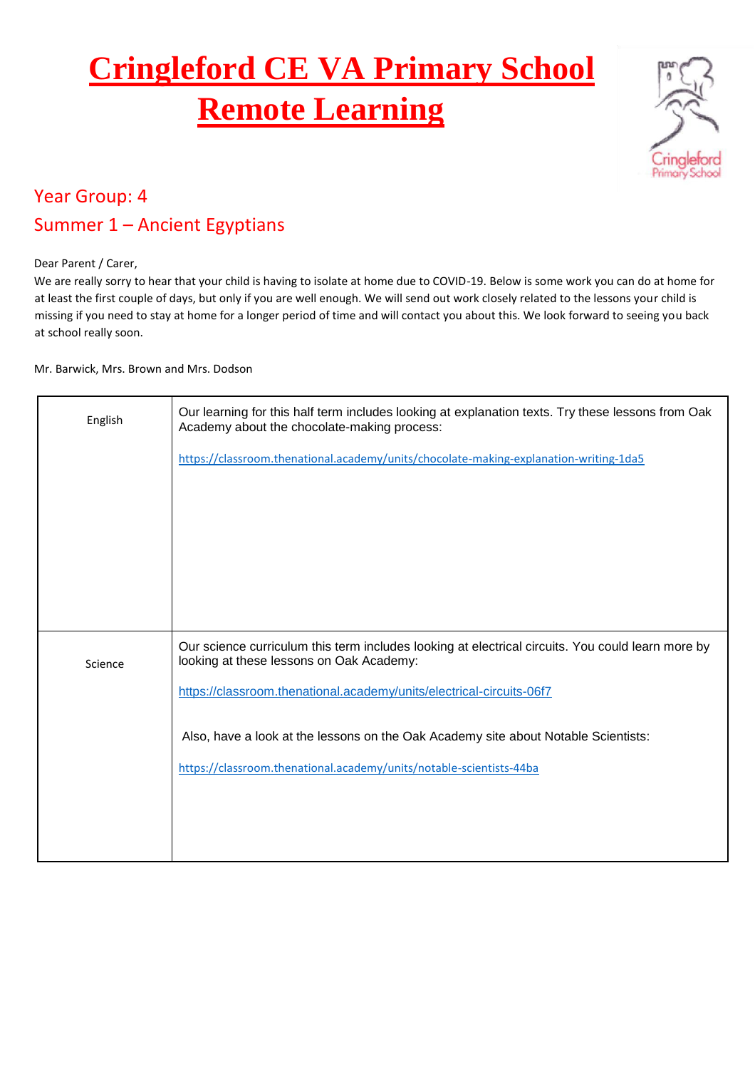## **Cringleford CE VA Primary School Remote Learning**



## Year Group: 4 Summer 1 – Ancient Egyptians

Dear Parent / Carer,

We are really sorry to hear that your child is having to isolate at home due to COVID-19. Below is some work you can do at home for at least the first couple of days, but only if you are well enough. We will send out work closely related to the lessons your child is missing if you need to stay at home for a longer period of time and will contact you about this. We look forward to seeing you back at school really soon.

Mr. Barwick, Mrs. Brown and Mrs. Dodson

| English | Our learning for this half term includes looking at explanation texts. Try these lessons from Oak<br>Academy about the chocolate-making process: |
|---------|--------------------------------------------------------------------------------------------------------------------------------------------------|
|         | https://classroom.thenational.academy/units/chocolate-making-explanation-writing-1da5                                                            |
|         |                                                                                                                                                  |
|         |                                                                                                                                                  |
|         |                                                                                                                                                  |
| Science | Our science curriculum this term includes looking at electrical circuits. You could learn more by<br>looking at these lessons on Oak Academy:    |
|         | https://classroom.thenational.academy/units/electrical-circuits-06f7                                                                             |
|         | Also, have a look at the lessons on the Oak Academy site about Notable Scientists:                                                               |
|         | https://classroom.thenational.academy/units/notable-scientists-44ba                                                                              |
|         |                                                                                                                                                  |
|         |                                                                                                                                                  |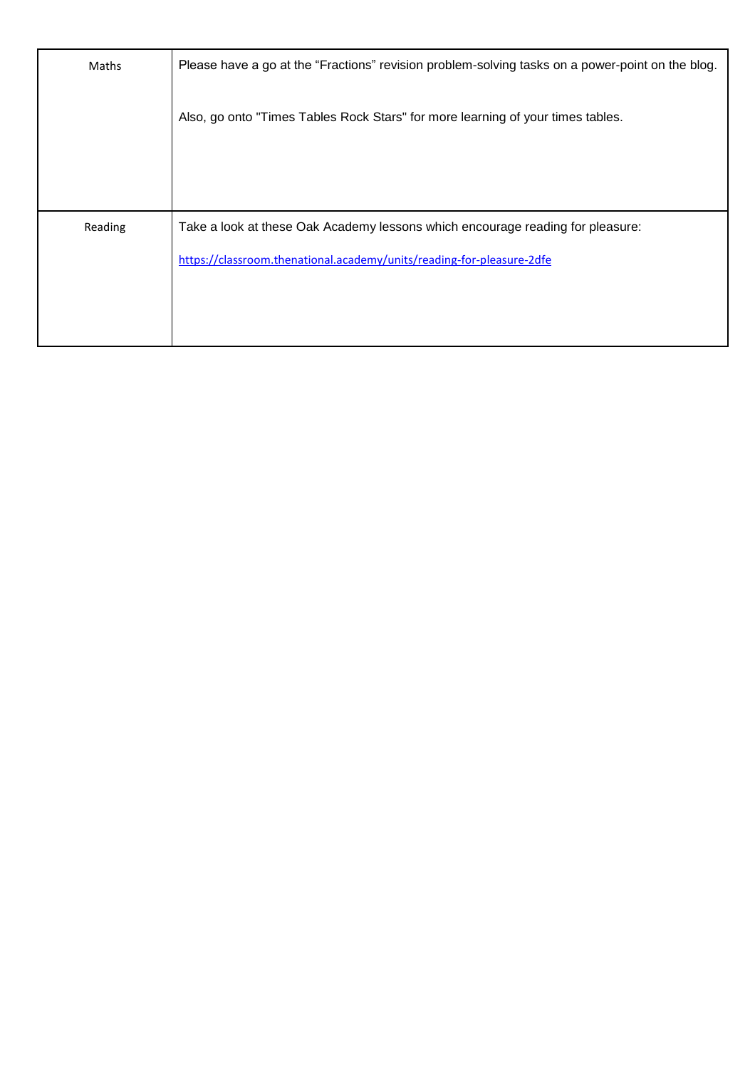| Maths   | Please have a go at the "Fractions" revision problem-solving tasks on a power-point on the blog. |
|---------|--------------------------------------------------------------------------------------------------|
|         | Also, go onto "Times Tables Rock Stars" for more learning of your times tables.                  |
|         |                                                                                                  |
|         |                                                                                                  |
| Reading | Take a look at these Oak Academy lessons which encourage reading for pleasure:                   |
|         | https://classroom.thenational.academy/units/reading-for-pleasure-2dfe                            |
|         |                                                                                                  |
|         |                                                                                                  |